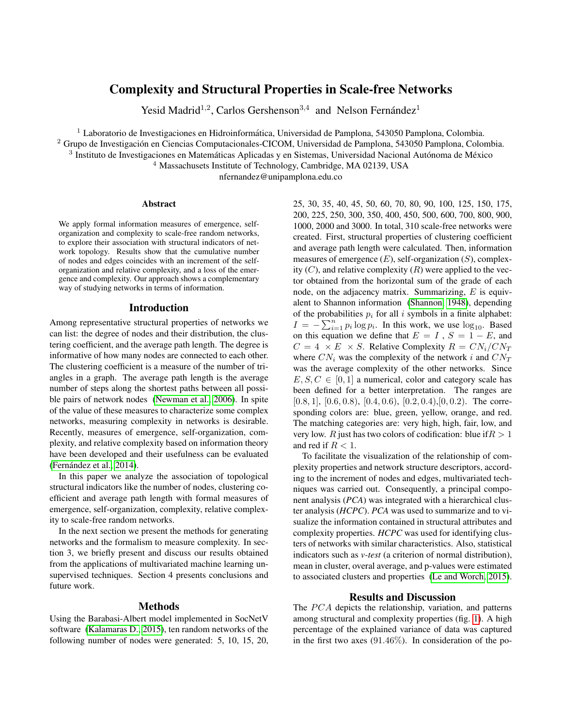# Complexity and Structural Properties in Scale-free Networks

Yesid Madrid<sup>1,2</sup>, Carlos Gershenson<sup>3,4</sup> and Nelson Fernández<sup>1</sup>

 $1$  Laboratorio de Investigaciones en Hidroinformática, Universidad de Pamplona, 543050 Pamplona, Colombia.

<sup>2</sup> Grupo de Investigación en Ciencias Computacionales-CICOM, Universidad de Pamplona, 543050 Pamplona, Colombia.

 $3$  Instituto de Investigaciones en Matemáticas Aplicadas y en Sistemas, Universidad Nacional Autónoma de México

<sup>4</sup> Massachusets Institute of Technology, Cambridge, MA 02139, USA

nfernandez@unipamplona.edu.co

#### Abstract

We apply formal information measures of emergence, selforganization and complexity to scale-free random networks, to explore their association with structural indicators of network topology. Results show that the cumulative number of nodes and edges coincides with an increment of the selforganization and relative complexity, and a loss of the emergence and complexity. Our approach shows a complementary way of studying networks in terms of information.

## Introduction

Among representative structural properties of networks we can list: the degree of nodes and their distribution, the clustering coefficient, and the average path length. The degree is informative of how many nodes are connected to each other. The clustering coefficient is a measure of the number of triangles in a graph. The average path length is the average number of steps along the shortest paths between all possible pairs of network nodes [\(Newman et al., 2006\)](#page-1-0). In spite of the value of these measures to characterize some complex networks, measuring complexity in networks is desirable. Recently, measures of emergence, self-organization, complexity, and relative complexity based on information theory have been developed and their usefulness can be evaluated (Fernández et al., 2014).

In this paper we analyze the association of topological structural indicators like the number of nodes, clustering coefficient and average path length with formal measures of emergence, self-organization, complexity, relative complexity to scale-free random networks.

In the next section we present the methods for generating networks and the formalism to measure complexity. In section 3, we briefly present and discuss our results obtained from the applications of multivariated machine learning unsupervised techniques. Section 4 presents conclusions and future work.

## Methods

Using the Barabasi-Albert model implemented in SocNetV software [\(Kalamaras D., 2015\)](#page-1-2), ten random networks of the following number of nodes were generated: 5, 10, 15, 20,

25, 30, 35, 40, 45, 50, 60, 70, 80, 90, 100, 125, 150, 175, 200, 225, 250, 300, 350, 400, 450, 500, 600, 700, 800, 900, 1000, 2000 and 3000. In total, 310 scale-free networks were created. First, structural properties of clustering coefficient and average path length were calculated. Then, information measures of emergence  $(E)$ , self-organization  $(S)$ , complexity  $(C)$ , and relative complexity  $(R)$  were applied to the vector obtained from the horizontal sum of the grade of each node, on the adjacency matrix. Summarizing,  $E$  is equivalent to Shannon information [\(Shannon, 1948\)](#page-1-3), depending of the probabilities  $p_i$  for all i symbols in a finite alphabet:  $I = -\sum_{i=1}^{n} p_i \log p_i$ . In this work, we use  $\log_{10}$ . Based on this equation we define that  $E = I$ ,  $S = 1 - E$ , and  $C = 4 \times E \times S$ . Relative Complexity  $R = CN_i/CN_T$ where  $CN_i$  was the complexity of the network i and  $CN_T$ was the average complexity of the other networks. Since  $E, S, C \in [0, 1]$  a numerical, color and category scale has been defined for a better interpretation. The ranges are  $[0.8, 1]$ ,  $[0.6, 0.8)$ ,  $[0.4, 0.6)$ ,  $[0.2, 0.4)$ ,  $[0, 0.2)$ . The corresponding colors are: blue, green, yellow, orange, and red. The matching categories are: very high, high, fair, low, and very low. R just has two colors of codification: blue if  $R > 1$ and red if  $R < 1$ .

To facilitate the visualization of the relationship of complexity properties and network structure descriptors, according to the increment of nodes and edges, multivariated techniques was carried out. Consequently, a principal component analysis (*PCA*) was integrated with a hierarchical cluster analysis (*HCPC*). *PCA* was used to summarize and to visualize the information contained in structural attributes and complexity properties. *HCPC* was used for identifying clusters of networks with similar characteristics. Also, statistical indicators such as *v-test* (a criterion of normal distribution), mean in cluster, overal average, and p-values were estimated to associated clusters and properties [\(Le and Worch, 2015\)](#page-1-4).

#### Results and Discussion

The  $PCA$  depicts the relationship, variation, and patterns among structural and complexity properties (fig. [1\)](#page-1-5). A high percentage of the explained variance of data was captured in the first two axes  $(91.46\%)$ . In consideration of the po